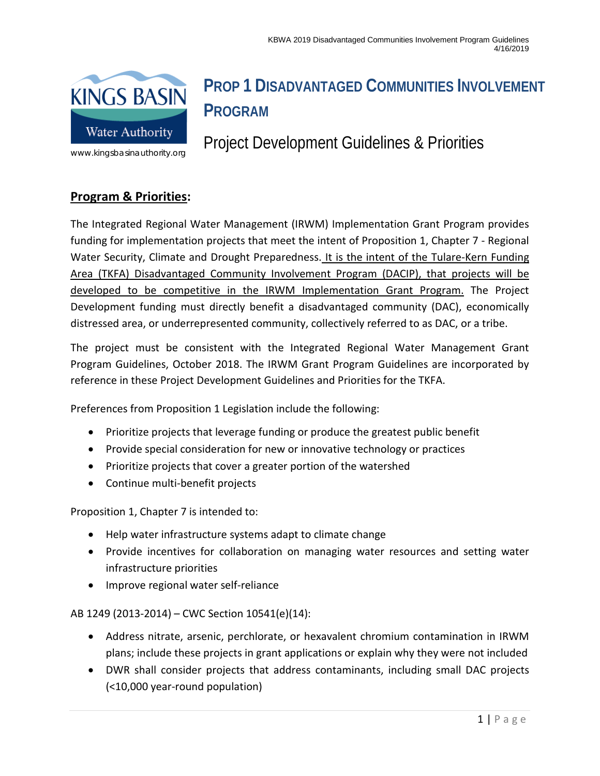

# **PROP 1 DISADVANTAGED COMMUNITIES INVOLVEMENT PROGRAM**

Project Development Guidelines & Priorities

## **Program & Priorities:**

The Integrated Regional Water Management (IRWM) Implementation Grant Program provides funding for implementation projects that meet the intent of Proposition 1, Chapter 7 - Regional Water Security, Climate and Drought Preparedness. It is the intent of the Tulare-Kern Funding Area (TKFA) Disadvantaged Community Involvement Program (DACIP), that projects will be developed to be competitive in the IRWM Implementation Grant Program. The Project Development funding must directly benefit a disadvantaged community (DAC), economically distressed area, or underrepresented community, collectively referred to as DAC, or a tribe.

The project must be consistent with the Integrated Regional Water Management Grant Program Guidelines, October 2018. The IRWM Grant Program Guidelines are incorporated by reference in these Project Development Guidelines and Priorities for the TKFA.

Preferences from Proposition 1 Legislation include the following:

- Prioritize projects that leverage funding or produce the greatest public benefit
- Provide special consideration for new or innovative technology or practices
- Prioritize projects that cover a greater portion of the watershed
- Continue multi-benefit projects

Proposition 1, Chapter 7 is intended to:

- Help water infrastructure systems adapt to climate change
- Provide incentives for collaboration on managing water resources and setting water infrastructure priorities
- Improve regional water self-reliance

AB 1249 (2013-2014) – CWC Section 10541(e)(14):

- Address nitrate, arsenic, perchlorate, or hexavalent chromium contamination in IRWM plans; include these projects in grant applications or explain why they were not included
- DWR shall consider projects that address contaminants, including small DAC projects (<10,000 year-round population)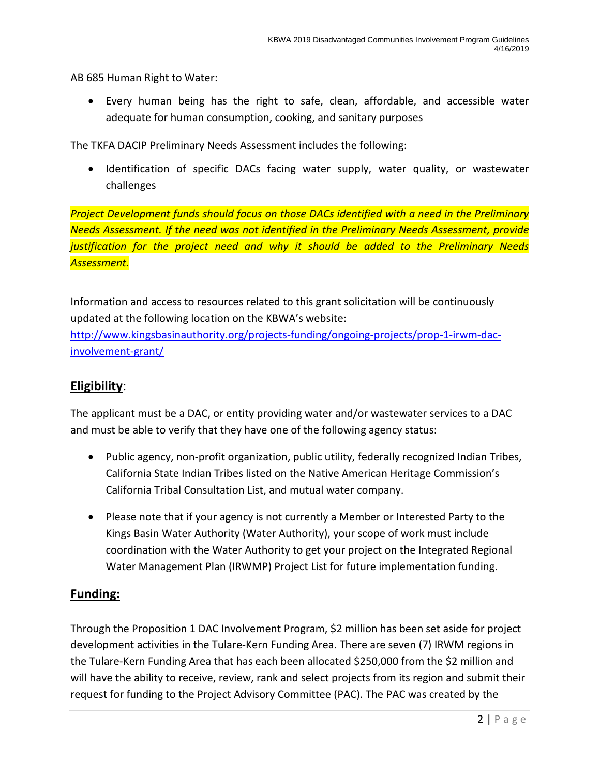AB 685 Human Right to Water:

• Every human being has the right to safe, clean, affordable, and accessible water adequate for human consumption, cooking, and sanitary purposes

The TKFA DACIP Preliminary Needs Assessment includes the following:

• Identification of specific DACs facing water supply, water quality, or wastewater challenges

*Project Development funds should focus on those DACs identified with a need in the Preliminary Needs Assessment. If the need was not identified in the Preliminary Needs Assessment, provide justification for the project need and why it should be added to the Preliminary Needs Assessment.*

Information and access to resources related to this grant solicitation will be continuously updated at the following location on the KBWA's website:

[http://www.kingsbasinauthority.org/projects-funding/ongoing-projects/prop-1-irwm-dac](http://www.kingsbasinauthority.org/projects-funding/ongoing-projects/prop-1-irwm-dac-involvement-grant/)[involvement-grant/](http://www.kingsbasinauthority.org/projects-funding/ongoing-projects/prop-1-irwm-dac-involvement-grant/)

#### **Eligibility**:

The applicant must be a DAC, or entity providing water and/or wastewater services to a DAC and must be able to verify that they have one of the following agency status:

- Public agency, non-profit organization, public utility, federally recognized Indian Tribes, California State Indian Tribes listed on the Native American Heritage Commission's California Tribal Consultation List, and mutual water company.
- Please note that if your agency is not currently a Member or Interested Party to the Kings Basin Water Authority (Water Authority), your scope of work must include coordination with the Water Authority to get your project on the Integrated Regional Water Management Plan (IRWMP) Project List for future implementation funding.

#### **Funding:**

Through the Proposition 1 DAC Involvement Program, \$2 million has been set aside for project development activities in the Tulare-Kern Funding Area. There are seven (7) IRWM regions in the Tulare-Kern Funding Area that has each been allocated \$250,000 from the \$2 million and will have the ability to receive, review, rank and select projects from its region and submit their request for funding to the Project Advisory Committee (PAC). The PAC was created by the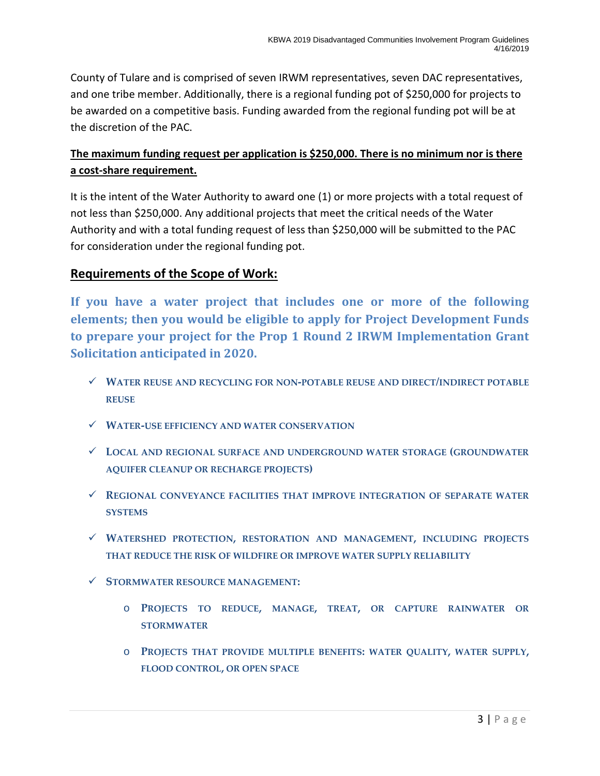County of Tulare and is comprised of seven IRWM representatives, seven DAC representatives, and one tribe member. Additionally, there is a regional funding pot of \$250,000 for projects to be awarded on a competitive basis. Funding awarded from the regional funding pot will be at the discretion of the PAC.

### **The maximum funding request per application is \$250,000. There is no minimum nor is there a cost-share requirement.**

It is the intent of the Water Authority to award one (1) or more projects with a total request of not less than \$250,000. Any additional projects that meet the critical needs of the Water Authority and with a total funding request of less than \$250,000 will be submitted to the PAC for consideration under the regional funding pot.

### **Requirements of the Scope of Work:**

**If you have a water project that includes one or more of the following elements; then you would be eligible to apply for Project Development Funds to prepare your project for the Prop 1 Round 2 IRWM Implementation Grant Solicitation anticipated in 2020.** 

- **WATER REUSE AND RECYCLING FOR NON-POTABLE REUSE AND DIRECT/INDIRECT POTABLE REUSE**
- **WATER-USE EFFICIENCY AND WATER CONSERVATION**
- **LOCAL AND REGIONAL SURFACE AND UNDERGROUND WATER STORAGE (GROUNDWATER AQUIFER CLEANUP OR RECHARGE PROJECTS)**
- **REGIONAL CONVEYANCE FACILITIES THAT IMPROVE INTEGRATION OF SEPARATE WATER SYSTEMS**
- **WATERSHED PROTECTION, RESTORATION AND MANAGEMENT, INCLUDING PROJECTS THAT REDUCE THE RISK OF WILDFIRE OR IMPROVE WATER SUPPLY RELIABILITY**
- **STORMWATER RESOURCE MANAGEMENT:**
	- o **PROJECTS TO REDUCE, MANAGE, TREAT, OR CAPTURE RAINWATER OR STORMWATER**
	- o **PROJECTS THAT PROVIDE MULTIPLE BENEFITS: WATER QUALITY, WATER SUPPLY, FLOOD CONTROL, OR OPEN SPACE**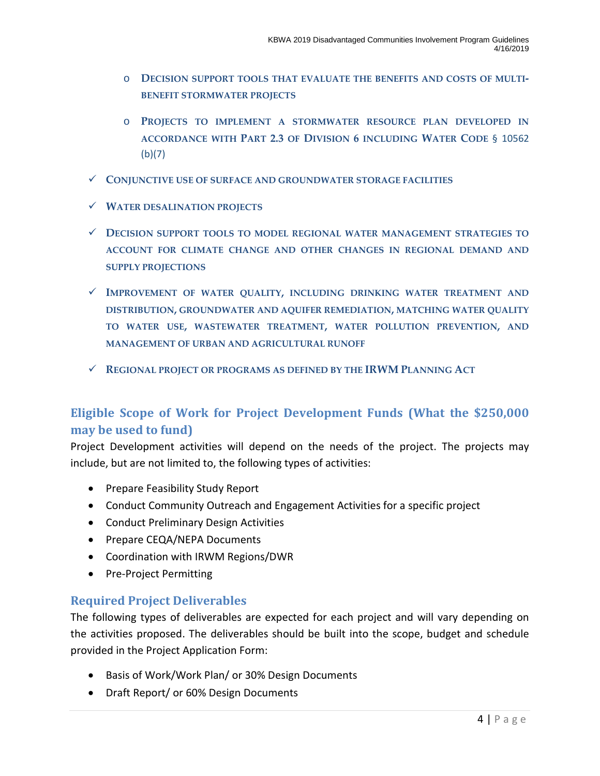- o **DECISION SUPPORT TOOLS THAT EVALUATE THE BENEFITS AND COSTS OF MULTI-BENEFIT STORMWATER PROJECTS**
- o **PROJECTS TO IMPLEMENT A STORMWATER RESOURCE PLAN DEVELOPED IN ACCORDANCE WITH PART 2.3 OF DIVISION 6 INCLUDING WATER CODE** § 10562 (b)(7)
- **CONJUNCTIVE USE OF SURFACE AND GROUNDWATER STORAGE FACILITIES**
- **WATER DESALINATION PROJECTS**
- **DECISION SUPPORT TOOLS TO MODEL REGIONAL WATER MANAGEMENT STRATEGIES TO ACCOUNT FOR CLIMATE CHANGE AND OTHER CHANGES IN REGIONAL DEMAND AND SUPPLY PROJECTIONS**
- **IMPROVEMENT OF WATER QUALITY, INCLUDING DRINKING WATER TREATMENT AND DISTRIBUTION, GROUNDWATER AND AQUIFER REMEDIATION, MATCHING WATER QUALITY TO WATER USE, WASTEWATER TREATMENT, WATER POLLUTION PREVENTION, AND MANAGEMENT OF URBAN AND AGRICULTURAL RUNOFF**
- **REGIONAL PROJECT OR PROGRAMS AS DEFINED BY THE IRWM PLANNING ACT**

## **Eligible Scope of Work for Project Development Funds (What the \$250,000 may be used to fund)**

Project Development activities will depend on the needs of the project. The projects may include, but are not limited to, the following types of activities:

- Prepare Feasibility Study Report
- Conduct Community Outreach and Engagement Activities for a specific project
- Conduct Preliminary Design Activities
- Prepare CEQA/NEPA Documents
- Coordination with IRWM Regions/DWR
- Pre-Project Permitting

#### **Required Project Deliverables**

The following types of deliverables are expected for each project and will vary depending on the activities proposed. The deliverables should be built into the scope, budget and schedule provided in the Project Application Form:

- Basis of Work/Work Plan/ or 30% Design Documents
- Draft Report/ or 60% Design Documents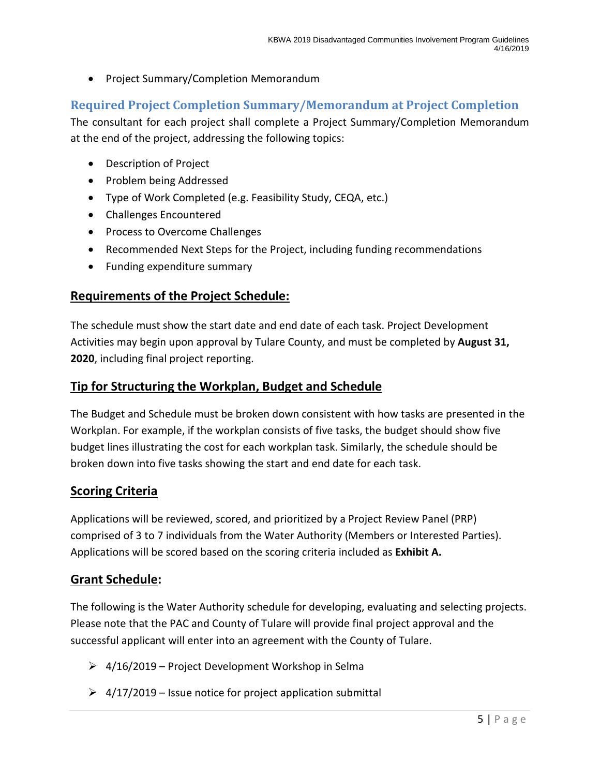• Project Summary/Completion Memorandum

### **Required Project Completion Summary/Memorandum at Project Completion**

The consultant for each project shall complete a Project Summary/Completion Memorandum at the end of the project, addressing the following topics:

- Description of Project
- Problem being Addressed
- Type of Work Completed (e.g. Feasibility Study, CEQA, etc.)
- Challenges Encountered
- Process to Overcome Challenges
- Recommended Next Steps for the Project, including funding recommendations
- Funding expenditure summary

#### **Requirements of the Project Schedule:**

The schedule must show the start date and end date of each task. Project Development Activities may begin upon approval by Tulare County, and must be completed by **August 31, 2020**, including final project reporting.

### **Tip for Structuring the Workplan, Budget and Schedule**

The Budget and Schedule must be broken down consistent with how tasks are presented in the Workplan. For example, if the workplan consists of five tasks, the budget should show five budget lines illustrating the cost for each workplan task. Similarly, the schedule should be broken down into five tasks showing the start and end date for each task.

#### **Scoring Criteria**

Applications will be reviewed, scored, and prioritized by a Project Review Panel (PRP) comprised of 3 to 7 individuals from the Water Authority (Members or Interested Parties). Applications will be scored based on the scoring criteria included as **Exhibit A.**

#### **Grant Schedule:**

The following is the Water Authority schedule for developing, evaluating and selecting projects. Please note that the PAC and County of Tulare will provide final project approval and the successful applicant will enter into an agreement with the County of Tulare.

- $\geq 4/16/2019$  Project Development Workshop in Selma
- $\geq 4/17/2019$  Issue notice for project application submittal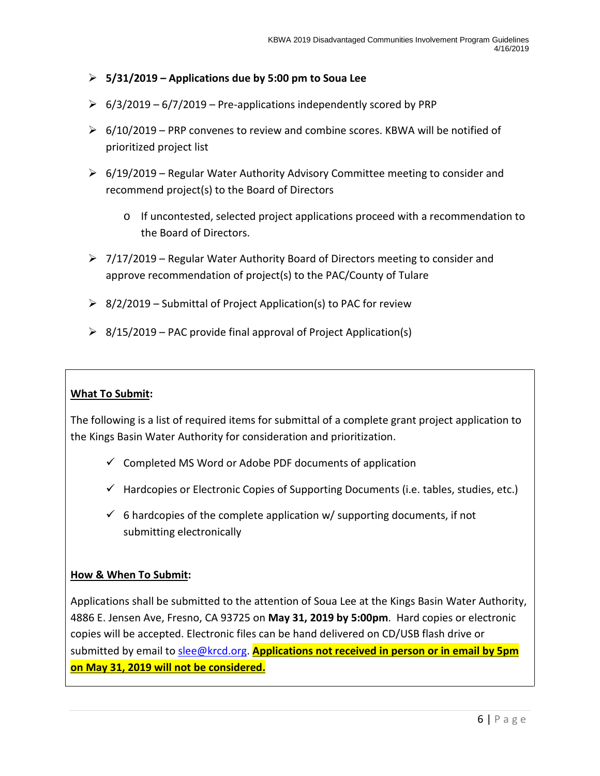- **5/31/2019 – Applications due by 5:00 pm to Soua Lee**
- $\geq 6/3/2019 6/7/2019$  Pre-applications independently scored by PRP
- $\triangleright$  6/10/2019 PRP convenes to review and combine scores. KBWA will be notified of prioritized project list
- $\triangleright$  6/19/2019 Regular Water Authority Advisory Committee meeting to consider and recommend project(s) to the Board of Directors
	- o If uncontested, selected project applications proceed with a recommendation to the Board of Directors.
- $\triangleright$  7/17/2019 Regular Water Authority Board of Directors meeting to consider and approve recommendation of project(s) to the PAC/County of Tulare
- $\geq 8/2/2019$  Submittal of Project Application(s) to PAC for review
- $\geq$  8/15/2019 PAC provide final approval of Project Application(s)

#### **What To Submit:**

The following is a list of required items for submittal of a complete grant project application to the Kings Basin Water Authority for consideration and prioritization.

- $\checkmark$  Completed MS Word or Adobe PDF documents of application
- $\checkmark$  Hardcopies or Electronic Copies of Supporting Documents (i.e. tables, studies, etc.)
- $\checkmark$  6 hardcopies of the complete application w/ supporting documents, if not submitting electronically

#### **How & When To Submit:**

Applications shall be submitted to the attention of Soua Lee at the Kings Basin Water Authority, 4886 E. Jensen Ave, Fresno, CA 93725 on **May 31, 2019 by 5:00pm**. Hard copies or electronic copies will be accepted. Electronic files can be hand delivered on CD/USB flash drive or submitted by email to [slee@krcd.org.](mailto:slee@krcd.org) **Applications not received in person or in email by 5pm on May 31, 2019 will not be considered.**